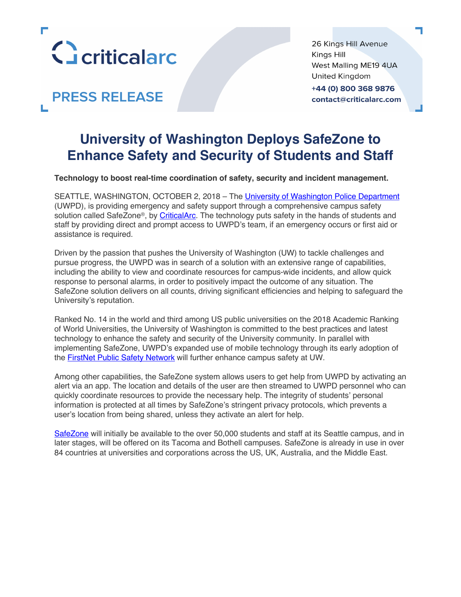

**PRESS RELEASE** 

26 Kings Hill Avenue Kings Hill West Malling ME19 4UA United Kingdom +44 (0) 800 368 9876 contact@criticalarc.com

# **University of Washington Deploys SafeZone to Enhance Safety and Security of Students and Staff**

**Technology to boost real-time coordination of safety, security and incident management.**

SEATTLE, WASHINGTON, OCTOBER 2, 2018 – The University of Washington Police Department (UWPD), is providing emergency and safety support through a comprehensive campus safety solution called SafeZone®, by CriticalArc. The technology puts safety in the hands of students and staff by providing direct and prompt access to UWPD's team, if an emergency occurs or first aid or assistance is required.

Driven by the passion that pushes the University of Washington (UW) to tackle challenges and pursue progress, the UWPD was in search of a solution with an extensive range of capabilities, including the ability to view and coordinate resources for campus-wide incidents, and allow quick response to personal alarms, in order to positively impact the outcome of any situation. The SafeZone solution delivers on all counts, driving significant efficiencies and helping to safeguard the University's reputation.

Ranked No. 14 in the world and third among US public universities on the 2018 Academic Ranking of World Universities, the University of Washington is committed to the best practices and latest technology to enhance the safety and security of the University community. In parallel with implementing SafeZone, UWPD's expanded use of mobile technology through its early adoption of the FirstNet Public Safety Network will further enhance campus safety at UW.

Among other capabilities, the SafeZone system allows users to get help from UWPD by activating an alert via an app. The location and details of the user are then streamed to UWPD personnel who can quickly coordinate resources to provide the necessary help. The integrity of students' personal information is protected at all times by SafeZone's stringent privacy protocols, which prevents a user's location from being shared, unless they activate an alert for help.

SafeZone will initially be available to the over 50,000 students and staff at its Seattle campus, and in later stages, will be offered on its Tacoma and Bothell campuses. SafeZone is already in use in over 84 countries at universities and corporations across the US, UK, Australia, and the Middle East.